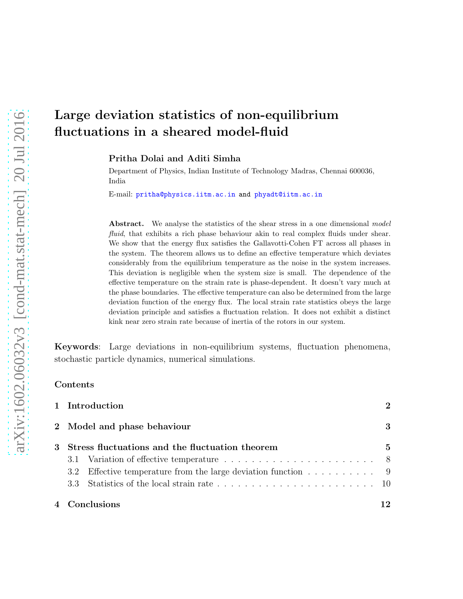Pritha Dolai and Aditi Simha

Department of Physics, Indian Institute of Technology Madras, Chennai 600036, India

E-mail: pritha@physics.iitm.ac.in and phyadt@iitm.ac.in

Abstract. We analyse the statistics of the shear stress in a one dimensional model fluid, that exhibits a rich phase behaviour akin to real complex fluids under shear. We show that the energy flux satisfies the Gallavotti-Cohen FT across all phases in the system. The theorem allows us to define an effective temperature which deviates considerably from the equilibrium temperature as the noise in the system increases. This deviation is negligible when the system size is small. The dependence of the effective temperature on the strain rate is phase-dependent. It doesn't vary much at the phase boundaries. The effective temperature can also be determined from the large deviation function of the energy flux. The local strain rate statistics obeys the large deviation principle and satisfies a fluctuation relation. It does not exhibit a distinct kink near zero strain rate because of inertia of the rotors in our system.

Keywords: Large deviations in non-equilibrium systems, fluctuation phenomena, stochastic particle dynamics, numerical simulations.

#### Contents

| 1 Introduction                                                | $\mathcal{D}_{\mathcal{L}}$ |
|---------------------------------------------------------------|-----------------------------|
| 2 Model and phase behaviour                                   | 3                           |
| 3 Stress fluctuations and the fluctuation theorem             | 5                           |
|                                                               |                             |
| 3.2 Effective temperature from the large deviation function 9 |                             |
|                                                               |                             |
| 4 Conclusions                                                 | 12                          |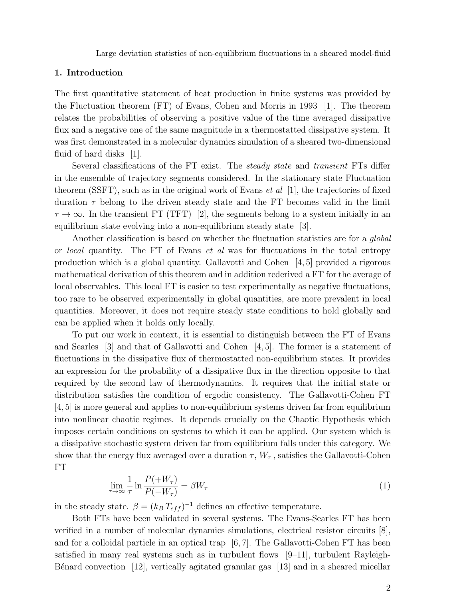## 1. Introduction

The first quantitative statement of heat production in finite systems was provided by the Fluctuation theorem (FT) of Evans, Cohen and Morris in 1993 [1]. The theorem relates the probabilities of observing a positive value of the time averaged dissipative flux and a negative one of the same magnitude in a thermostatted dissipative system. It was first demonstrated in a molecular dynamics simulation of a sheared two-dimensional fluid of hard disks [1].

Several classifications of the FT exist. The steady state and transient FTs differ in the ensemble of trajectory segments considered. In the stationary state Fluctuation theorem (SSFT), such as in the original work of Evans *et al* [1], the trajectories of fixed duration  $\tau$  belong to the driven steady state and the FT becomes valid in the limit  $\tau \to \infty$ . In the transient FT (TFT) [2], the segments belong to a system initially in an equilibrium state evolving into a non-equilibrium steady state [3].

Another classification is based on whether the fluctuation statistics are for a global or local quantity. The FT of Evans et al was for fluctuations in the total entropy production which is a global quantity. Gallavotti and Cohen  $\left[4, 5\right]$  provided a rigorous mathematical derivation of this theorem and in addition rederived a FT for the average of local observables. This local FT is easier to test experimentally as negative fluctuations, too rare to be observed experimentally in global quantities, are more prevalent in local quantities. Moreover, it does not require steady state conditions to hold globally and can be applied when it holds only locally.

To put our work in context, it is essential to distinguish between the FT of Evans and Searles [3] and that of Gallavotti and Cohen [4, 5]. The former is a statement of fluctuations in the dissipative flux of thermostatted non-equilibrium states. It provides an expression for the probability of a dissipative flux in the direction opposite to that required by the second law of thermodynamics. It requires that the initial state or distribution satisfies the condition of ergodic consistency. The Gallavotti-Cohen FT [4, 5] is more general and applies to non-equilibrium systems driven far from equilibrium into nonlinear chaotic regimes. It depends crucially on the Chaotic Hypothesis which imposes certain conditions on systems to which it can be applied. Our system which is a dissipative stochastic system driven far from equilibrium falls under this category. We show that the energy flux averaged over a duration  $\tau$ ,  $W_{\tau}$ , satisfies the Gallavotti-Cohen FT

$$
\lim_{\tau \to \infty} \frac{1}{\tau} \ln \frac{P(+W_{\tau})}{P(-W_{\tau})} = \beta W_{\tau}
$$
\n(1)

in the steady state.  $\beta = (k_B T_{eff})^{-1}$  defines an effective temperature.

Both FTs have been validated in several systems. The Evans-Searles FT has been verified in a number of molecular dynamics simulations, electrical resistor circuits [8], and for a colloidal particle in an optical trap  $[6, 7]$ . The Gallavotti-Cohen FT has been satisfied in many real systems such as in turbulent flows  $[9-11]$ , turbulent Rayleigh-Bénard convection  $[12]$ , vertically agitated granular gas  $[13]$  and in a sheared micellar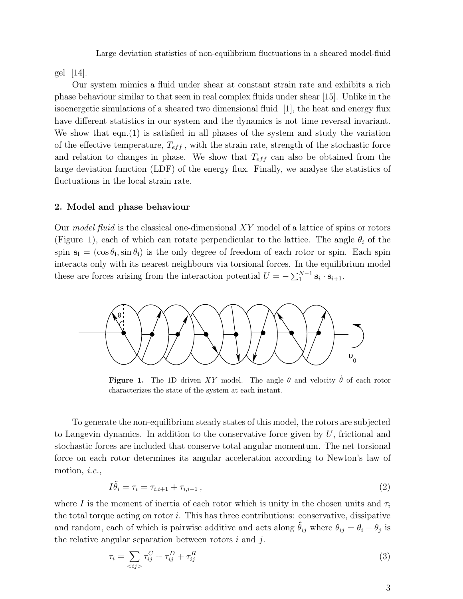gel [14].

Our system mimics a fluid under shear at constant strain rate and exhibits a rich phase behaviour similar to that seen in real complex fluids under shear [15]. Unlike in the isoenergetic simulations of a sheared two dimensional fluid [1], the heat and energy flux have different statistics in our system and the dynamics is not time reversal invariant. We show that eqn.(1) is satisfied in all phases of the system and study the variation of the effective temperature,  $T_{eff}$ , with the strain rate, strength of the stochastic force and relation to changes in phase. We show that  $T_{eff}$  can also be obtained from the large deviation function (LDF) of the energy flux. Finally, we analyse the statistics of fluctuations in the local strain rate.

## 2. Model and phase behaviour

Our model fluid is the classical one-dimensional  $XY$  model of a lattice of spins or rotors (Figure 1), each of which can rotate perpendicular to the lattice. The angle  $\theta_i$  of the spin  $s_i = (\cos \theta_i, \sin \theta_i)$  is the only degree of freedom of each rotor or spin. Each spin interacts only with its nearest neighbours via torsional forces. In the equilibrium model these are forces arising from the interaction potential  $U = -\sum_{1}^{N-1} \mathbf{s}_i \cdot \mathbf{s}_{i+1}$ .



**Figure 1.** The 1D driven XY model. The angle  $\theta$  and velocity  $\theta$  of each rotor characterizes the state of the system at each instant.

To generate the non-equilibrium steady states of this model, the rotors are subjected to Langevin dynamics. In addition to the conservative force given by  $U$ , frictional and stochastic forces are included that conserve total angular momentum. The net torsional force on each rotor determines its angular acceleration according to Newton's law of motion, *i.e.*,

$$
I\ddot{\theta}_i = \tau_i = \tau_{i,i+1} + \tau_{i,i-1},\tag{2}
$$

where I is the moment of inertia of each rotor which is unity in the chosen units and  $\tau_i$ the total torque acting on rotor  $i$ . This has three contributions: conservative, dissipative and random, each of which is pairwise additive and acts along  $\hat{\theta}_{ij}$  where  $\theta_{ij} = \theta_i - \theta_j$  is the relative angular separation between rotors  $i$  and  $j$ .

$$
\tau_i = \sum_{\langle ij \rangle} \tau_{ij}^C + \tau_{ij}^D + \tau_{ij}^R \tag{3}
$$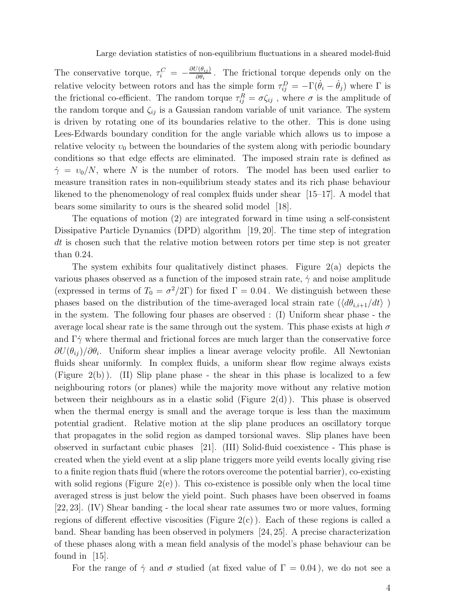The conservative torque,  $\tau_i^C = -\frac{\partial U(\theta_{ij})}{\partial \theta_i}$  $\frac{\partial (\theta_{ij})}{\partial \theta_i}$ . The frictional torque depends only on the relative velocity between rotors and has the simple form  $\tau_{ij}^D = -\Gamma(\dot{\theta}_i - \dot{\theta}_j)$  where  $\Gamma$  is the frictional co-efficient. The random torque  $\tau_{ij}^R = \sigma \zeta_{ij}$ , where  $\sigma$  is the amplitude of the random torque and  $\zeta_{ij}$  is a Gaussian random variable of unit variance. The system is driven by rotating one of its boundaries relative to the other. This is done using Lees-Edwards boundary condition for the angle variable which allows us to impose a relative velocity  $v_0$  between the boundaries of the system along with periodic boundary conditions so that edge effects are eliminated. The imposed strain rate is defined as  $\dot{\gamma} = v_0/N$ , where N is the number of rotors. The model has been used earlier to measure transition rates in non-equilibrium steady states and its rich phase behaviour likened to the phenomenology of real complex fluids under shear [15–17]. A model that bears some similarity to ours is the sheared solid model [18].

The equations of motion (2) are integrated forward in time using a self-consistent Dissipative Particle Dynamics (DPD) algorithm [19, 20]. The time step of integration dt is chosen such that the relative motion between rotors per time step is not greater than 0.24.

The system exhibits four qualitatively distinct phases. Figure 2(a) depicts the various phases observed as a function of the imposed strain rate,  $\dot{\gamma}$  and noise amplitude (expressed in terms of  $T_0 = \sigma^2/2\Gamma$ ) for fixed  $\Gamma = 0.04$ . We distinguish between these phases based on the distribution of the time-averaged local strain rate  $(\langle d\theta_{i,i+1}/dt \rangle$ ) in the system. The following four phases are observed : (I) Uniform shear phase - the average local shear rate is the same through out the system. This phase exists at high  $\sigma$ and  $\Gamma \dot{\gamma}$  where thermal and frictional forces are much larger than the conservative force  $\partial U(\theta_{ij})/\partial \theta_i$ . Uniform shear implies a linear average velocity profile. All Newtonian fluids shear uniformly. In complex fluids, a uniform shear flow regime always exists (Figure 2(b) ). (II) Slip plane phase - the shear in this phase is localized to a few neighbouring rotors (or planes) while the majority move without any relative motion between their neighbours as in a elastic solid (Figure  $2(d)$ ). This phase is observed when the thermal energy is small and the average torque is less than the maximum potential gradient. Relative motion at the slip plane produces an oscillatory torque that propagates in the solid region as damped torsional waves. Slip planes have been observed in surfactant cubic phases [21]. (III) Solid-fluid coexistence - This phase is created when the yield event at a slip plane triggers more yeild events locally giving rise to a finite region thats fluid (where the rotors overcome the potential barrier), co-existing with solid regions (Figure  $2(e)$ ). This co-existence is possible only when the local time averaged stress is just below the yield point. Such phases have been observed in foams [22, 23]. (IV) Shear banding - the local shear rate assumes two or more values, forming regions of different effective viscosities (Figure  $2(c)$ ). Each of these regions is called a band. Shear banding has been observed in polymers [24, 25]. A precise characterization of these phases along with a mean field analysis of the model's phase behaviour can be found in [15].

For the range of  $\dot{\gamma}$  and  $\sigma$  studied (at fixed value of  $\Gamma = 0.04$ ), we do not see a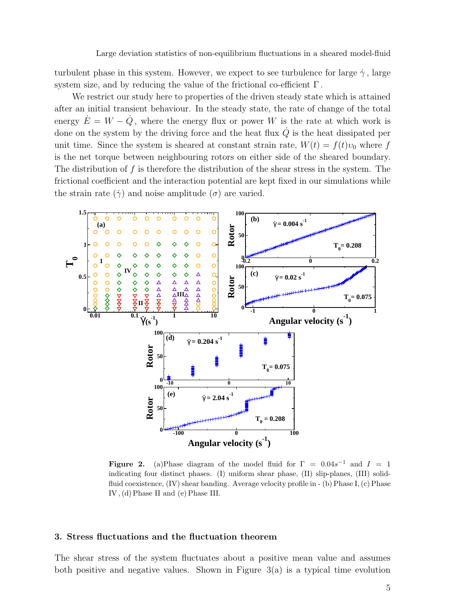turbulent phase in this system. However, we expect to see turbulence for large  $\dot{\gamma}$ , large system size, and by reducing the value of the frictional co-efficient  $\Gamma$ .

We restrict our study here to properties of the driven steady state which is attained after an initial transient behaviour. In the steady state, the rate of change of the total energy  $\dot{E} = W - \dot{Q}$ , where the energy flux or power W is the rate at which work is done on the system by the driving force and the heat flux  $\dot{Q}$  is the heat dissipated per unit time. Since the system is sheared at constant strain rate,  $W(t) = f(t)v_0$  where f is the net torque between neighbouring rotors on either side of the sheared boundary. The distribution of f is therefore the distribution of the shear stress in the system. The frictional coefficient and the interaction potential are kept fixed in our simulations while the strain rate  $(\dot{\gamma})$  and noise amplitude  $(\sigma)$  are varied.



Figure 2. (a)Phase diagram of the model fluid for  $\Gamma = 0.04s^{-1}$  and  $I = 1$ indicating four distinct phases. (I) uniform shear phase, (II) slip-planes, (III) solidfluid coexistence, (IV) shear banding. Average velocity profile in - (b) Phase I, (c) Phase IV , (d) Phase II and (e) Phase III.

## 3. Stress fluctuations and the fluctuation theorem

The shear stress of the system fluctuates about a positive mean value and assumes both positive and negative values. Shown in Figure 3(a) is a typical time evolution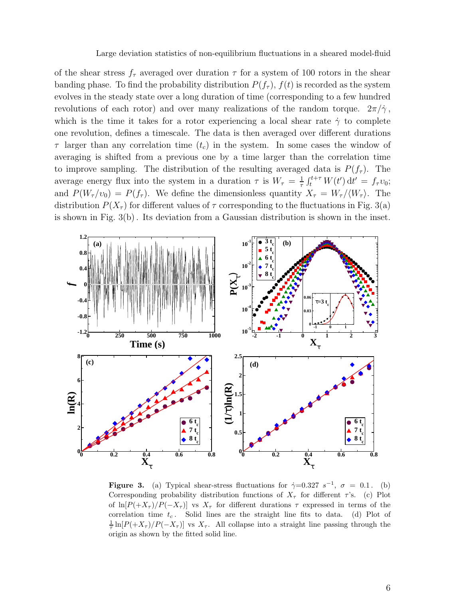of the shear stress  $f_{\tau}$  averaged over duration  $\tau$  for a system of 100 rotors in the shear banding phase. To find the probability distribution  $P(f_\tau)$ ,  $f(t)$  is recorded as the system evolves in the steady state over a long duration of time (corresponding to a few hundred revolutions of each rotor) and over many realizations of the random torque.  $2\pi/\gamma$ , which is the time it takes for a rotor experiencing a local shear rate  $\dot{\gamma}$  to complete one revolution, defines a timescale. The data is then averaged over different durations  $\tau$  larger than any correlation time  $(t_c)$  in the system. In some cases the window of averaging is shifted from a previous one by a time larger than the correlation time to improve sampling. The distribution of the resulting averaged data is  $P(f_\tau)$ . The average energy flux into the system in a duration  $\tau$  is  $W_{\tau} = \frac{1}{\tau}$  $\frac{1}{\tau} \int_{t}^{t+\tau} W(t') dt' = f_{\tau} v_0;$ and  $P(W_\tau/v_0) = P(f_\tau)$ . We define the dimensionless quantity  $X_\tau = W_\tau / \langle W_\tau \rangle$ . The distribution  $P(X_\tau)$  for different values of  $\tau$  corresponding to the fluctuations in Fig. 3(a) is shown in Fig. 3(b) . Its deviation from a Gaussian distribution is shown in the inset.



**Figure 3.** (a) Typical shear-stress fluctuations for  $\dot{\gamma}=0.327 s^{-1}$ ,  $\sigma = 0.1$ . (b) Corresponding probability distribution functions of  $X_\tau$  for different  $\tau$ 's. (c) Plot of  $\ln[P(+X_\tau)/P(-X_\tau)]$  vs  $X_\tau$  for different durations  $\tau$  expressed in terms of the correlation time  $t_c$ . Solid lines are the straight line fits to data. (d) Plot of 1  $\frac{1}{\tau} \ln[P(X_{\tau})/P(-X_{\tau})]$  vs  $X_{\tau}$ . All collapse into a straight line passing through the origin as shown by the fitted solid line.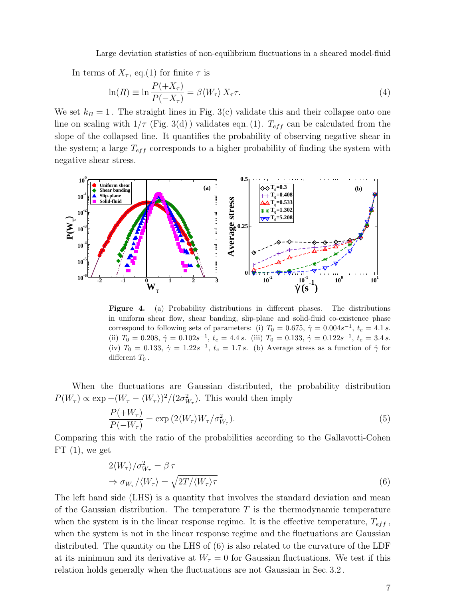In terms of  $X_{\tau}$ , eq.(1) for finite  $\tau$  is

$$
\ln(R) \equiv \ln \frac{P(+X_{\tau})}{P(-X_{\tau})} = \beta \langle W_{\tau} \rangle X_{\tau} \tau.
$$
\n(4)

We set  $k_B = 1$ . The straight lines in Fig. 3(c) validate this and their collapse onto one line on scaling with  $1/\tau$  (Fig. 3(d)) validates eqn. (1).  $T_{eff}$  can be calculated from the slope of the collapsed line. It quantifies the probability of observing negative shear in the system; a large  $T_{eff}$  corresponds to a higher probability of finding the system with negative shear stress.



Figure 4. (a) Probability distributions in different phases. The distributions in uniform shear flow, shear banding, slip-plane and solid-fluid co-existence phase correspond to following sets of parameters: (i)  $T_0 = 0.675$ ,  $\dot{\gamma} = 0.004s^{-1}$ ,  $t_c = 4.1 s$ . (ii)  $T_0 = 0.208$ ,  $\dot{\gamma} = 0.102s^{-1}$ ,  $t_c = 4.4 s$ . (iii)  $T_0 = 0.133$ ,  $\dot{\gamma} = 0.122s^{-1}$ ,  $t_c = 3.4 s$ . (iv)  $T_0 = 0.133$ ,  $\dot{\gamma} = 1.22 s^{-1}$ ,  $t_c = 1.7 s$ . (b) Average stress as a function of  $\dot{\gamma}$  for different  $T_0$ .

When the fluctuations are Gaussian distributed, the probability distribution  $P(W_{\tau}) \propto \exp - (W_{\tau} - \langle W_{\tau} \rangle)^2 / (2\sigma_{W_{\tau}}^2)$ . This would then imply

$$
\frac{P(+W_{\tau})}{P(-W_{\tau})} = \exp\left(2\langle W_{\tau}\rangle W_{\tau}/\sigma_{W_{\tau}}^2\right). \tag{5}
$$

Comparing this with the ratio of the probabilities according to the Gallavotti-Cohen  $FT(1)$ , we get

$$
2\langle W_{\tau}\rangle/\sigma_{W_{\tau}}^2 = \beta \tau
$$
  
\n
$$
\Rightarrow \sigma_{W_{\tau}}/\langle W_{\tau}\rangle = \sqrt{2T/\langle W_{\tau}\rangle\tau}
$$
\n(6)

The left hand side (LHS) is a quantity that involves the standard deviation and mean of the Gaussian distribution. The temperature  $T$  is the thermodynamic temperature when the system is in the linear response regime. It is the effective temperature,  $T_{eff}$ , when the system is not in the linear response regime and the fluctuations are Gaussian distributed. The quantity on the LHS of (6) is also related to the curvature of the LDF at its minimum and its derivative at  $W_{\tau} = 0$  for Gaussian fluctuations. We test if this relation holds generally when the fluctuations are not Gaussian in Sec. 3.2 .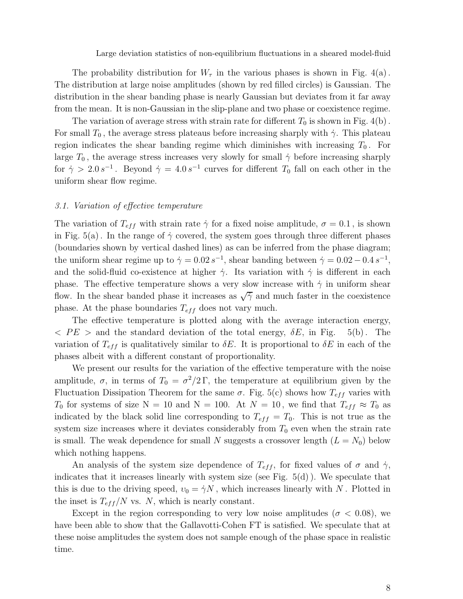The probability distribution for  $W_{\tau}$  in the various phases is shown in Fig. 4(a). The distribution at large noise amplitudes (shown by red filled circles) is Gaussian. The distribution in the shear banding phase is nearly Gaussian but deviates from it far away from the mean. It is non-Gaussian in the slip-plane and two phase or coexistence regime.

The variation of average stress with strain rate for different  $T_0$  is shown in Fig. 4(b). For small  $T_0$ , the average stress plateaus before increasing sharply with  $\dot{\gamma}$ . This plateau region indicates the shear banding regime which diminishes with increasing  $T_0$ . For large  $T_0$ , the average stress increases very slowly for small  $\dot{\gamma}$  before increasing sharply for  $\dot{\gamma} > 2.0 s^{-1}$ . Beyond  $\dot{\gamma} = 4.0 s^{-1}$  curves for different  $T_0$  fall on each other in the uniform shear flow regime.

## 3.1. Variation of effective temperature

The variation of  $T_{eff}$  with strain rate  $\dot{\gamma}$  for a fixed noise amplitude,  $\sigma = 0.1$ , is shown in Fig. 5(a). In the range of  $\dot{\gamma}$  covered, the system goes through three different phases (boundaries shown by vertical dashed lines) as can be inferred from the phase diagram; the uniform shear regime up to  $\dot{\gamma} = 0.02 s^{-1}$ , shear banding between  $\dot{\gamma} = 0.02 - 0.4 s^{-1}$ , and the solid-fluid co-existence at higher  $\dot{\gamma}$ . Its variation with  $\dot{\gamma}$  is different in each phase. The effective temperature shows a very slow increase with  $\dot{\gamma}$  in uniform shear flow. In the shear banded phase it increases as  $\sqrt{\dot{\gamma}}$  and much faster in the coexistence phase. At the phase boundaries  $T_{eff}$  does not vary much.

The effective temperature is plotted along with the average interaction energy,  $\langle PE \rangle$  and the standard deviation of the total energy,  $\delta E$ , in Fig. 5(b). The variation of  $T_{eff}$  is qualitatively similar to  $\delta E$ . It is proportional to  $\delta E$  in each of the phases albeit with a different constant of proportionality.

We present our results for the variation of the effective temperature with the noise amplitude,  $\sigma$ , in terms of  $T_0 = \sigma^2/2\,\Gamma$ , the temperature at equilibrium given by the Fluctuation Dissipation Theorem for the same  $\sigma$ . Fig. 5(c) shows how  $T_{eff}$  varies with  $T_0$  for systems of size N = 10 and N = 100. At N = 10, we find that  $T_{eff} \approx T_0$  as indicated by the black solid line corresponding to  $T_{eff} = T_0$ . This is not true as the system size increases where it deviates considerably from  $T_0$  even when the strain rate is small. The weak dependence for small N suggests a crossover length  $(L = N_0)$  below which nothing happens.

An analysis of the system size dependence of  $T_{eff}$ , for fixed values of  $\sigma$  and  $\dot{\gamma}$ , indicates that it increases linearly with system size (see Fig.  $5(d)$ ). We speculate that this is due to the driving speed,  $v_0 = \dot{\gamma} N$ , which increases linearly with N. Plotted in the inset is  $T_{eff}/N$  vs. N, which is nearly constant.

Except in the region corresponding to very low noise amplitudes ( $\sigma$  < 0.08), we have been able to show that the Gallavotti-Cohen FT is satisfied. We speculate that at these noise amplitudes the system does not sample enough of the phase space in realistic time.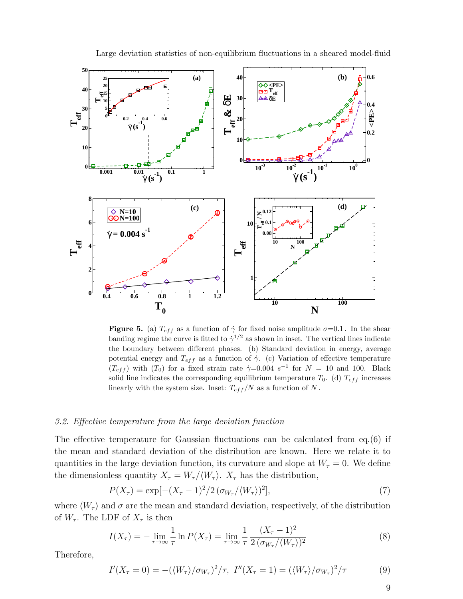

**Figure 5.** (a)  $T_{eff}$  as a function of  $\dot{\gamma}$  for fixed noise amplitude  $\sigma=0.1$ . In the shear banding regime the curve is fitted to  $\dot{\gamma}^{1/2}$  as shown in inset. The vertical lines indicate the boundary between different phases. (b) Standard deviation in energy, average potential energy and  $T_{eff}$  as a function of  $\dot{\gamma}$ . (c) Variation of effective temperature  $(T_{eff})$  with  $(T_0)$  for a fixed strain rate  $\dot{\gamma}=0.004$  s<sup>-1</sup> for  $N=10$  and 100. Black solid line indicates the corresponding equilibrium temperature  $T_0$ . (d)  $T_{eff}$  increases linearly with the system size. Inset:  $T_{eff}/N$  as a function of N.

#### 3.2. Effective temperature from the large deviation function

The effective temperature for Gaussian fluctuations can be calculated from eq.(6) if the mean and standard deviation of the distribution are known. Here we relate it to quantities in the large deviation function, its curvature and slope at  $W_{\tau} = 0$ . We define the dimensionless quantity  $X_{\tau} = W_{\tau}/\langle W_{\tau} \rangle$ .  $X_{\tau}$  has the distribution,

$$
P(X_{\tau}) = \exp[-(X_{\tau} - 1)^{2}/2(\sigma_{W_{\tau}}/\langle W_{\tau} \rangle)^{2}], \tag{7}
$$

where  $\langle W_{\tau} \rangle$  and  $\sigma$  are the mean and standard deviation, respectively, of the distribution of  $W_{\tau}$ . The LDF of  $X_{\tau}$  is then

$$
I(X_{\tau}) = -\lim_{\tau \to \infty} \frac{1}{\tau} \ln P(X_{\tau}) = \lim_{\tau \to \infty} \frac{1}{\tau} \frac{(X_{\tau} - 1)^2}{2(\sigma_{W_{\tau}} / \langle W_{\tau} \rangle)^2}
$$
(8)

Therefore,

$$
I'(X_{\tau}=0) = -(\langle W_{\tau} \rangle / \sigma_{W_{\tau}})^{2} / \tau, \ I''(X_{\tau}=1) = (\langle W_{\tau} \rangle / \sigma_{W_{\tau}})^{2} / \tau
$$
(9)

9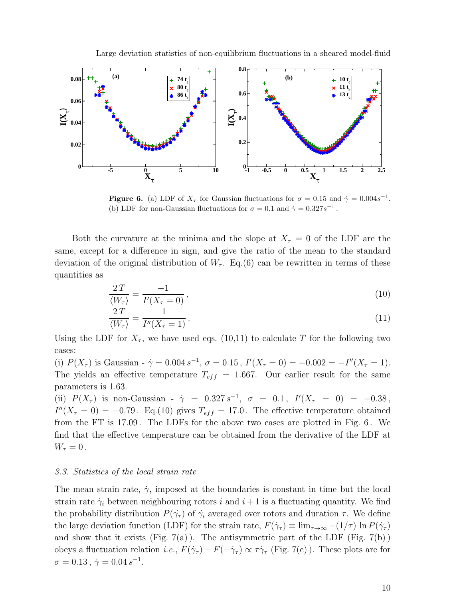



**Figure 6.** (a) LDF of  $X_{\tau}$  for Gaussian fluctuations for  $\sigma = 0.15$  and  $\dot{\gamma} = 0.004s^{-1}$ . (b) LDF for non-Gaussian fluctuations for  $\sigma = 0.1$  and  $\dot{\gamma} = 0.327 s^{-1}$ .

Both the curvature at the minima and the slope at  $X_\tau = 0$  of the LDF are the same, except for a difference in sign, and give the ratio of the mean to the standard deviation of the original distribution of  $W_{\tau}$ . Eq.(6) can be rewritten in terms of these quantities as

$$
\frac{2T}{\langle W_{\tau} \rangle} = \frac{-1}{I'(X_{\tau} = 0)},\tag{10}
$$

$$
\frac{2T}{\langle W_{\tau} \rangle} = \frac{1}{I''(X_{\tau} = 1)}.
$$
\n(11)

Using the LDF for  $X_{\tau}$ , we have used eqs. (10,11) to calculate T for the following two cases:

(i)  $P(X_{\tau})$  is Gaussian -  $\dot{\gamma} = 0.004 s^{-1}$ ,  $\sigma = 0.15$ ,  $I'(X_{\tau} = 0) = -0.002 = -I''(X_{\tau} = 1)$ . The yields an effective temperature  $T_{eff}$  = 1.667. Our earlier result for the same parameters is 1.63.

(ii)  $P(X_{\tau})$  is non-Gaussian -  $\dot{\gamma}$  = 0.327 s<sup>-1</sup>,  $\sigma$  = 0.1,  $I'(X_{\tau} = 0)$  = -0.38,  $I''(X_{\tau} = 0) = -0.79$ . Eq.(10) gives  $T_{eff} = 17.0$ . The effective temperature obtained from the FT is 17.09 . The LDFs for the above two cases are plotted in Fig. 6 . We find that the effective temperature can be obtained from the derivative of the LDF at  $W_{\tau}=0$ .

## 3.3. Statistics of the local strain rate

The mean strain rate,  $\dot{\gamma}$ , imposed at the boundaries is constant in time but the local strain rate  $\dot{\gamma}_i$  between neighbouring rotors i and  $i+1$  is a fluctuating quantity. We find the probability distribution  $P(\dot{\gamma}_\tau)$  of  $\dot{\gamma}_i$  averaged over rotors and duration  $\tau$ . We define the large deviation function (LDF) for the strain rate,  $F(\dot{\gamma}_\tau) \equiv \lim_{\tau \to \infty} -(1/\tau) \ln P(\dot{\gamma}_\tau)$ and show that it exists (Fig.  $7(a)$ ). The antisymmetric part of the LDF (Fig.  $7(b)$ ) obeys a fluctuation relation *i.e.*,  $F(\dot{\gamma}_\tau) - F(-\dot{\gamma}_\tau) \propto \tau \dot{\gamma}_\tau$  (Fig. 7(c)). These plots are for  $\sigma = 0.13$ ,  $\dot{\gamma} = 0.04 s^{-1}$ .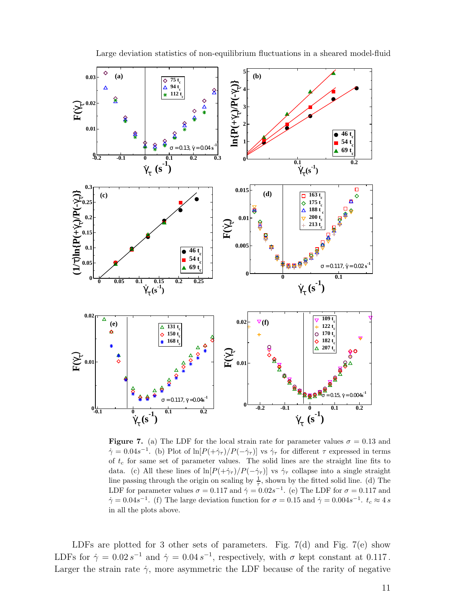

Figure 7. (a) The LDF for the local strain rate for parameter values  $\sigma = 0.13$  and  $\dot{\gamma} = 0.04s^{-1}$ . (b) Plot of ln $[P(+\dot{\gamma}_\tau)/P(-\dot{\gamma}_\tau)]$  vs  $\dot{\gamma}_\tau$  for different  $\tau$  expressed in terms of  $t_c$  for same set of parameter values. The solid lines are the straight line fits to data. (c) All these lines of  $\ln[P(+\dot{\gamma}_\tau)/P(-\dot{\gamma}_\tau)]$  vs  $\dot{\gamma}_\tau$  collapse into a single straight line passing through the origin on scaling by  $\frac{1}{\tau}$ , shown by the fitted solid line. (d) The LDF for parameter values  $\sigma = 0.117$  and  $\dot{\gamma} = 0.02s^{-1}$ . (e) The LDF for  $\sigma = 0.117$  and  $\dot{\gamma} = 0.04s^{-1}$ . (f) The large deviation function for  $\sigma = 0.15$  and  $\dot{\gamma} = 0.004s^{-1}$ .  $t_c \approx 4 \, s$ in all the plots above.

LDFs are plotted for 3 other sets of parameters. Fig. 7(d) and Fig. 7(e) show LDFs for  $\dot{\gamma} = 0.02 s^{-1}$  and  $\dot{\gamma} = 0.04 s^{-1}$ , respectively, with  $\sigma$  kept constant at 0.117. Larger the strain rate  $\dot{\gamma}$ , more asymmetric the LDF because of the rarity of negative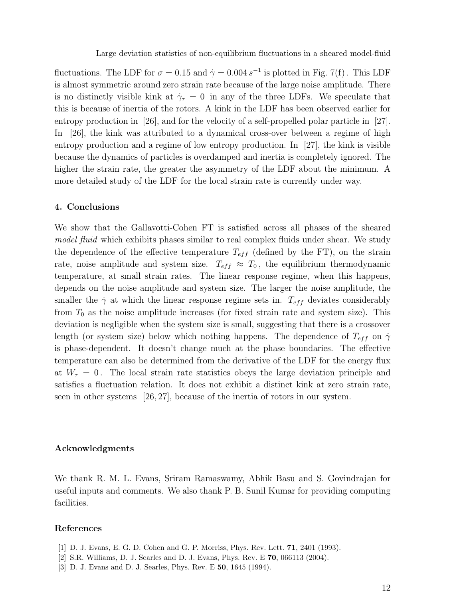fluctuations. The LDF for  $\sigma = 0.15$  and  $\dot{\gamma} = 0.004 s^{-1}$  is plotted in Fig. 7(f). This LDF is almost symmetric around zero strain rate because of the large noise amplitude. There is no distinctly visible kink at  $\dot{\gamma}_\tau = 0$  in any of the three LDFs. We speculate that this is because of inertia of the rotors. A kink in the LDF has been observed earlier for entropy production in [26], and for the velocity of a self-propelled polar particle in [27]. In [26], the kink was attributed to a dynamical cross-over between a regime of high entropy production and a regime of low entropy production. In [27], the kink is visible because the dynamics of particles is overdamped and inertia is completely ignored. The higher the strain rate, the greater the asymmetry of the LDF about the minimum. A more detailed study of the LDF for the local strain rate is currently under way.

## 4. Conclusions

We show that the Gallavotti-Cohen FT is satisfied across all phases of the sheared model fluid which exhibits phases similar to real complex fluids under shear. We study the dependence of the effective temperature  $T_{eff}$  (defined by the FT), on the strain rate, noise amplitude and system size.  $T_{eff} \approx T_0$ , the equilibrium thermodynamic temperature, at small strain rates. The linear response regime, when this happens, depends on the noise amplitude and system size. The larger the noise amplitude, the smaller the  $\dot{\gamma}$  at which the linear response regime sets in.  $T_{eff}$  deviates considerably from  $T_0$  as the noise amplitude increases (for fixed strain rate and system size). This deviation is negligible when the system size is small, suggesting that there is a crossover length (or system size) below which nothing happens. The dependence of  $T_{eff}$  on  $\dot{\gamma}$ is phase-dependent. It doesn't change much at the phase boundaries. The effective temperature can also be determined from the derivative of the LDF for the energy flux at  $W_{\tau} = 0$ . The local strain rate statistics obeys the large deviation principle and satisfies a fluctuation relation. It does not exhibit a distinct kink at zero strain rate, seen in other systems [26, 27], because of the inertia of rotors in our system.

## Acknowledgments

We thank R. M. L. Evans, Sriram Ramaswamy, Abhik Basu and S. Govindrajan for useful inputs and comments. We also thank P. B. Sunil Kumar for providing computing facilities.

## References

- [1] D. J. Evans, E. G. D. Cohen and G. P. Morriss, Phys. Rev. Lett. 71, 2401 (1993).
- [2] S.R. Williams, D. J. Searles and D. J. Evans, Phys. Rev. E 70, 066113 (2004).
- [3] D. J. Evans and D. J. Searles, Phys. Rev. E 50, 1645 (1994).